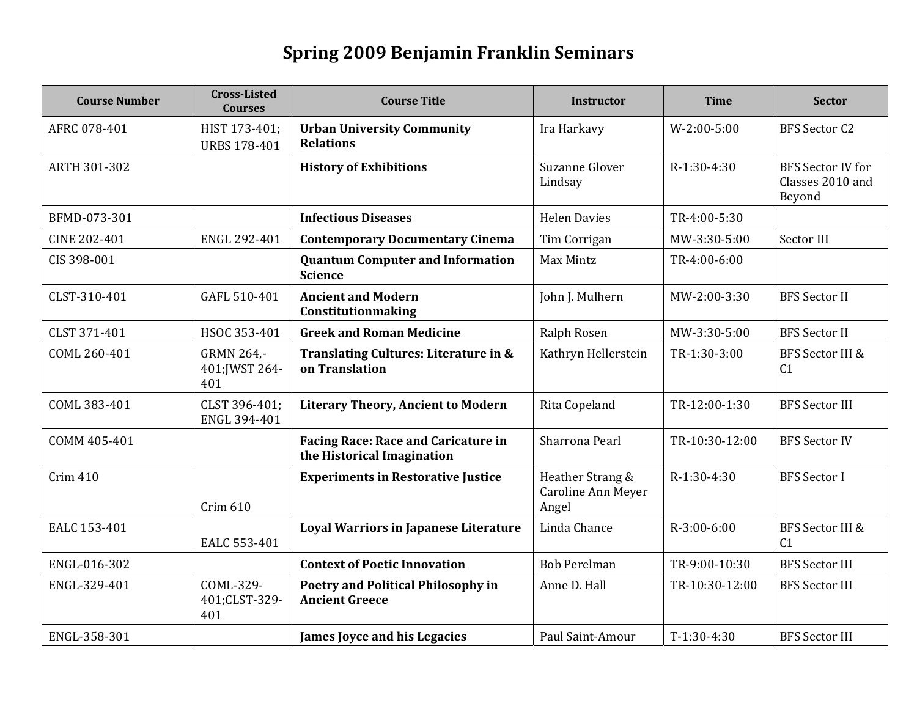## **Spring 2009 Benjamin Franklin Seminars**

| <b>Course Number</b> | <b>Cross-Listed</b><br><b>Courses</b> | <b>Course Title</b>                                                      | <b>Instructor</b>                               | <b>Time</b>    | <b>Sector</b>                                          |
|----------------------|---------------------------------------|--------------------------------------------------------------------------|-------------------------------------------------|----------------|--------------------------------------------------------|
| AFRC 078-401         | HIST 173-401;<br><b>URBS 178-401</b>  | <b>Urban University Community</b><br><b>Relations</b>                    | Ira Harkavy                                     | $W-2:00-5:00$  | <b>BFS Sector C2</b>                                   |
| ARTH 301-302         |                                       | <b>History of Exhibitions</b>                                            | Suzanne Glover<br>Lindsay                       | R-1:30-4:30    | <b>BFS Sector IV for</b><br>Classes 2010 and<br>Beyond |
| BFMD-073-301         |                                       | <b>Infectious Diseases</b>                                               | <b>Helen Davies</b>                             | TR-4:00-5:30   |                                                        |
| CINE 202-401         | ENGL 292-401                          | <b>Contemporary Documentary Cinema</b>                                   | Tim Corrigan                                    | MW-3:30-5:00   | Sector III                                             |
| CIS 398-001          |                                       | <b>Quantum Computer and Information</b><br><b>Science</b>                | Max Mintz                                       | TR-4:00-6:00   |                                                        |
| CLST-310-401         | GAFL 510-401                          | <b>Ancient and Modern</b><br>Constitutionmaking                          | John J. Mulhern                                 | MW-2:00-3:30   | <b>BFS Sector II</b>                                   |
| CLST 371-401         | HSOC 353-401                          | <b>Greek and Roman Medicine</b>                                          | Ralph Rosen                                     | MW-3:30-5:00   | <b>BFS Sector II</b>                                   |
| COML 260-401         | GRMN 264,-<br>401; JWST 264-<br>401   | Translating Cultures: Literature in &<br>on Translation                  | Kathryn Hellerstein                             | TR-1:30-3:00   | <b>BFS Sector III &amp;</b><br>C <sub>1</sub>          |
| COML 383-401         | CLST 396-401:<br>ENGL 394-401         | <b>Literary Theory, Ancient to Modern</b>                                | Rita Copeland                                   | TR-12:00-1:30  | <b>BFS Sector III</b>                                  |
| COMM 405-401         |                                       | <b>Facing Race: Race and Caricature in</b><br>the Historical Imagination | Sharrona Pearl                                  | TR-10:30-12:00 | <b>BFS Sector IV</b>                                   |
| Crim 410             | Crim 610                              | <b>Experiments in Restorative Justice</b>                                | Heather Strang &<br>Caroline Ann Meyer<br>Angel | R-1:30-4:30    | <b>BFS</b> Sector I                                    |
| EALC 153-401         | EALC 553-401                          | Loyal Warriors in Japanese Literature                                    | Linda Chance                                    | R-3:00-6:00    | <b>BFS Sector III &amp;</b><br>C <sub>1</sub>          |
| ENGL-016-302         |                                       | <b>Context of Poetic Innovation</b>                                      | <b>Bob Perelman</b>                             | TR-9:00-10:30  | <b>BFS Sector III</b>                                  |
| ENGL-329-401         | COML-329-<br>401;CLST-329-<br>401     | Poetry and Political Philosophy in<br><b>Ancient Greece</b>              | Anne D. Hall                                    | TR-10:30-12:00 | <b>BFS Sector III</b>                                  |
| ENGL-358-301         |                                       | James Joyce and his Legacies                                             | Paul Saint-Amour                                | $T-1:30-4:30$  | <b>BFS Sector III</b>                                  |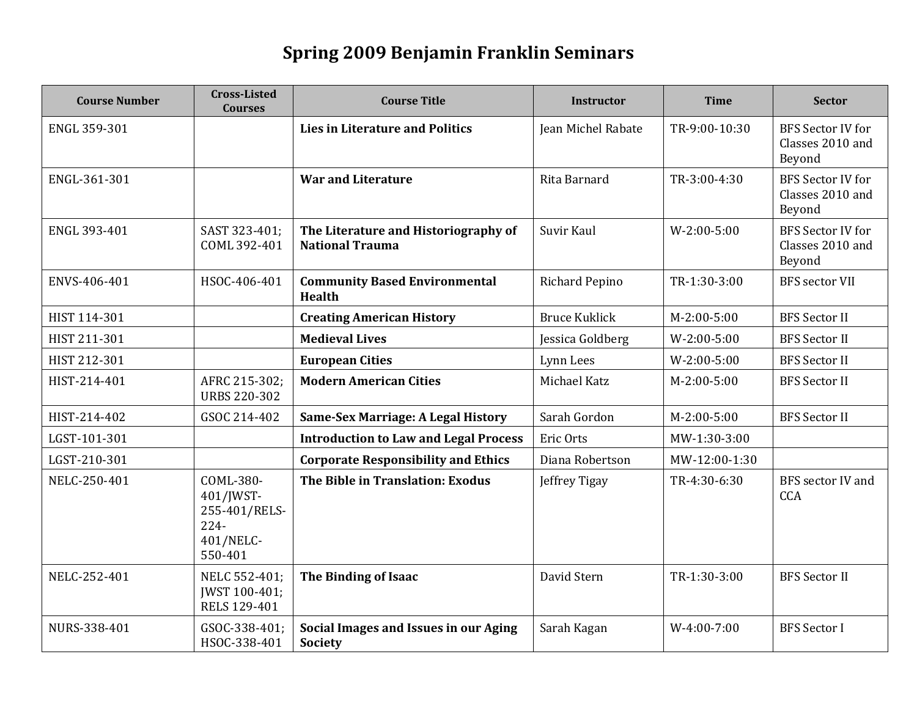## **Spring 2009 Benjamin Franklin Seminars**

| <b>Course Number</b> | <b>Cross-Listed</b><br><b>Courses</b>                                      | <b>Course Title</b>                                            | <b>Instructor</b>     | <b>Time</b>   | <b>Sector</b>                                          |
|----------------------|----------------------------------------------------------------------------|----------------------------------------------------------------|-----------------------|---------------|--------------------------------------------------------|
| ENGL 359-301         |                                                                            | <b>Lies in Literature and Politics</b>                         | Jean Michel Rabate    | TR-9:00-10:30 | <b>BFS Sector IV for</b><br>Classes 2010 and<br>Beyond |
| ENGL-361-301         |                                                                            | <b>War and Literature</b>                                      | Rita Barnard          | TR-3:00-4:30  | <b>BFS Sector IV for</b><br>Classes 2010 and<br>Beyond |
| ENGL 393-401         | SAST 323-401;<br>COML 392-401                                              | The Literature and Historiography of<br><b>National Trauma</b> | Suvir Kaul            | $W-2:00-5:00$ | <b>BFS Sector IV for</b><br>Classes 2010 and<br>Beyond |
| ENVS-406-401         | HSOC-406-401                                                               | <b>Community Based Environmental</b><br><b>Health</b>          | <b>Richard Pepino</b> | TR-1:30-3:00  | <b>BFS</b> sector VII                                  |
| HIST 114-301         |                                                                            | <b>Creating American History</b>                               | <b>Bruce Kuklick</b>  | $M-2:00-5:00$ | <b>BFS Sector II</b>                                   |
| HIST 211-301         |                                                                            | <b>Medieval Lives</b>                                          | Jessica Goldberg      | $W-2:00-5:00$ | <b>BFS Sector II</b>                                   |
| HIST 212-301         |                                                                            | <b>European Cities</b>                                         | Lynn Lees             | $W-2:00-5:00$ | <b>BFS Sector II</b>                                   |
| HIST-214-401         | AFRC 215-302;<br><b>URBS 220-302</b>                                       | <b>Modern American Cities</b>                                  | Michael Katz          | $M-2:00-5:00$ | <b>BFS Sector II</b>                                   |
| HIST-214-402         | GSOC 214-402                                                               | Same-Sex Marriage: A Legal History                             | Sarah Gordon          | M-2:00-5:00   | <b>BFS Sector II</b>                                   |
| LGST-101-301         |                                                                            | <b>Introduction to Law and Legal Process</b>                   | Eric Orts             | MW-1:30-3:00  |                                                        |
| LGST-210-301         |                                                                            | <b>Corporate Responsibility and Ethics</b>                     | Diana Robertson       | MW-12:00-1:30 |                                                        |
| NELC-250-401         | COML-380-<br>401/JWST-<br>255-401/RELS-<br>$224 -$<br>401/NELC-<br>550-401 | The Bible in Translation: Exodus                               | Jeffrey Tigay         | TR-4:30-6:30  | <b>BFS</b> sector IV and<br>CCA                        |
| NELC-252-401         | NELC 552-401;<br>JWST 100-401;<br>RELS 129-401                             | The Binding of Isaac                                           | David Stern           | TR-1:30-3:00  | <b>BFS Sector II</b>                                   |
| NURS-338-401         | GSOC-338-401;<br>HSOC-338-401                                              | Social Images and Issues in our Aging<br>Society               | Sarah Kagan           | $W-4:00-7:00$ | <b>BFS</b> Sector I                                    |